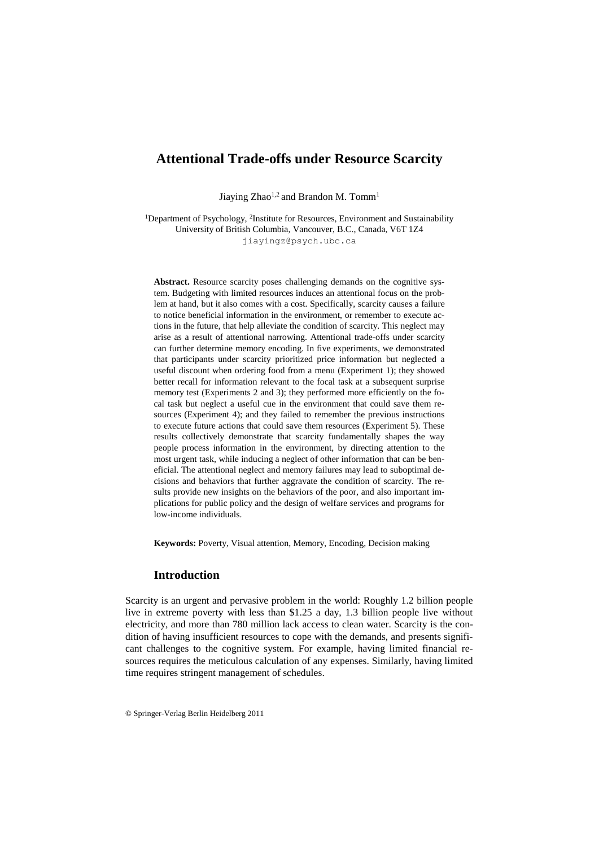# **Attentional Trade-offs under Resource Scarcity**

Jiaying Zhao<sup>1,2</sup> and Brandon M. Tomm<sup>1</sup>

<sup>1</sup>Department of Psychology, <sup>2</sup>Institute for Resources, Environment and Sustainability University of British Columbia, Vancouver, B.C., Canada, V6T 1Z4 jiayingz@psych.ubc.ca

Abstract. Resource scarcity poses challenging demands on the cognitive system. Budgeting with limited resources induces an attentional focus on the problem at hand, but it also comes with a cost. Specifically, scarcity causes a failure to notice beneficial information in the environment, or remember to execute actions in the future, that help alleviate the condition of scarcity. This neglect may arise as a result of attentional narrowing. Attentional trade-offs under scarcity can further determine memory encoding. In five experiments, we demonstrated that participants under scarcity prioritized price information but neglected a useful discount when ordering food from a menu (Experiment 1); they showed better recall for information relevant to the focal task at a subsequent surprise memory test (Experiments 2 and 3); they performed more efficiently on the focal task but neglect a useful cue in the environment that could save them resources (Experiment 4); and they failed to remember the previous instructions to execute future actions that could save them resources (Experiment 5). These results collectively demonstrate that scarcity fundamentally shapes the way people process information in the environment, by directing attention to the most urgent task, while inducing a neglect of other information that can be beneficial. The attentional neglect and memory failures may lead to suboptimal decisions and behaviors that further aggravate the condition of scarcity. The results provide new insights on the behaviors of the poor, and also important implications for public policy and the design of welfare services and programs for low-income individuals.

**Keywords:** Poverty, Visual attention, Memory, Encoding, Decision making

# **Introduction**

Scarcity is an urgent and pervasive problem in the world: Roughly 1.2 billion people live in extreme poverty with less than \$1.25 a day, 1.3 billion people live without electricity, and more than 780 million lack access to clean water. Scarcity is the condition of having insufficient resources to cope with the demands, and presents significant challenges to the cognitive system. For example, having limited financial resources requires the meticulous calculation of any expenses. Similarly, having limited time requires stringent management of schedules.

© Springer-Verlag Berlin Heidelberg 2011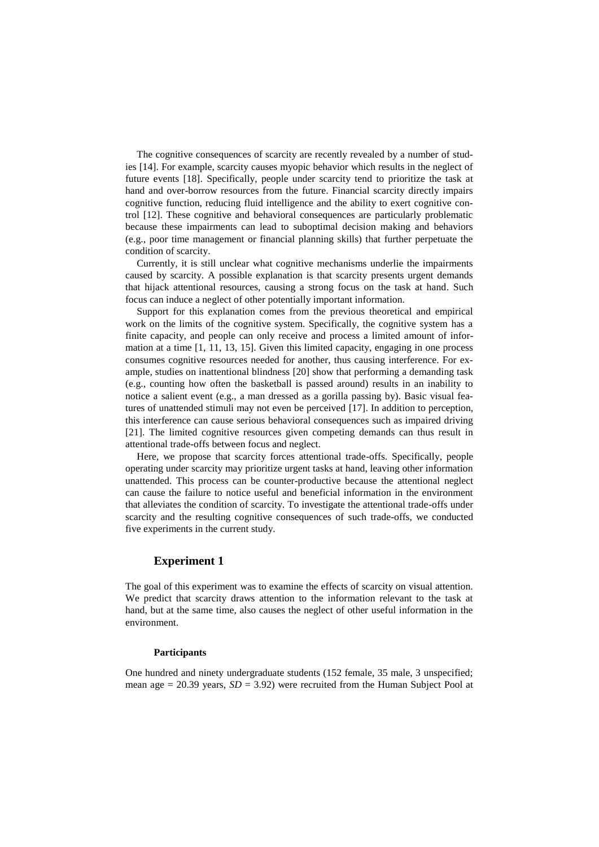The cognitive consequences of scarcity are recently revealed by a number of studies [14]. For example, scarcity causes myopic behavior which results in the neglect of future events [18]. Specifically, people under scarcity tend to prioritize the task at hand and over-borrow resources from the future. Financial scarcity directly impairs cognitive function, reducing fluid intelligence and the ability to exert cognitive control [12]. These cognitive and behavioral consequences are particularly problematic because these impairments can lead to suboptimal decision making and behaviors (e.g., poor time management or financial planning skills) that further perpetuate the condition of scarcity.

Currently, it is still unclear what cognitive mechanisms underlie the impairments caused by scarcity. A possible explanation is that scarcity presents urgent demands that hijack attentional resources, causing a strong focus on the task at hand. Such focus can induce a neglect of other potentially important information.

Support for this explanation comes from the previous theoretical and empirical work on the limits of the cognitive system. Specifically, the cognitive system has a finite capacity, and people can only receive and process a limited amount of information at a time [1, 11, 13, 15]. Given this limited capacity, engaging in one process consumes cognitive resources needed for another, thus causing interference. For example, studies on inattentional blindness [20] show that performing a demanding task (e.g., counting how often the basketball is passed around) results in an inability to notice a salient event (e.g., a man dressed as a gorilla passing by). Basic visual features of unattended stimuli may not even be perceived [17]. In addition to perception, this interference can cause serious behavioral consequences such as impaired driving [21]. The limited cognitive resources given competing demands can thus result in attentional trade-offs between focus and neglect.

Here, we propose that scarcity forces attentional trade-offs. Specifically, people operating under scarcity may prioritize urgent tasks at hand, leaving other information unattended. This process can be counter-productive because the attentional neglect can cause the failure to notice useful and beneficial information in the environment that alleviates the condition of scarcity. To investigate the attentional trade-offs under scarcity and the resulting cognitive consequences of such trade-offs, we conducted five experiments in the current study.

# **Experiment 1**

The goal of this experiment was to examine the effects of scarcity on visual attention. We predict that scarcity draws attention to the information relevant to the task at hand, but at the same time, also causes the neglect of other useful information in the environment.

#### **Participants**

One hundred and ninety undergraduate students (152 female, 35 male, 3 unspecified; mean age  $= 20.39$  years,  $SD = 3.92$ ) were recruited from the Human Subject Pool at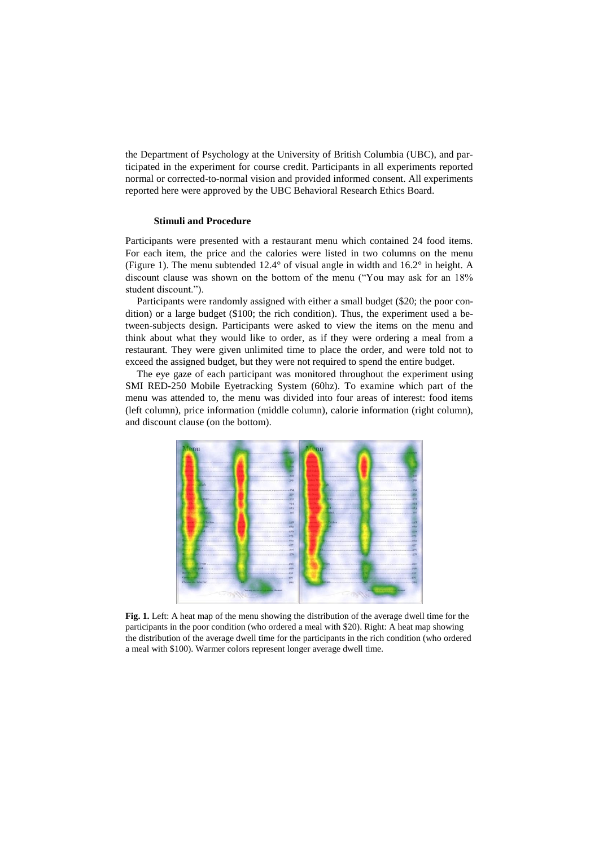the Department of Psychology at the University of British Columbia (UBC), and participated in the experiment for course credit. Participants in all experiments reported normal or corrected-to-normal vision and provided informed consent. All experiments reported here were approved by the UBC Behavioral Research Ethics Board.

#### **Stimuli and Procedure**

Participants were presented with a restaurant menu which contained 24 food items. For each item, the price and the calories were listed in two columns on the menu (Figure 1). The menu subtended 12.4° of visual angle in width and 16.2° in height. A discount clause was shown on the bottom of the menu ("You may ask for an 18% student discount.").

Participants were randomly assigned with either a small budget (\$20; the poor condition) or a large budget (\$100; the rich condition). Thus, the experiment used a between-subjects design. Participants were asked to view the items on the menu and think about what they would like to order, as if they were ordering a meal from a restaurant. They were given unlimited time to place the order, and were told not to exceed the assigned budget, but they were not required to spend the entire budget.

The eye gaze of each participant was monitored throughout the experiment using SMI RED-250 Mobile Eyetracking System (60hz). To examine which part of the menu was attended to, the menu was divided into four areas of interest: food items (left column), price information (middle column), calorie information (right column), and discount clause (on the bottom).



**Fig. 1.** Left: A heat map of the menu showing the distribution of the average dwell time for the participants in the poor condition (who ordered a meal with \$20). Right: A heat map showing the distribution of the average dwell time for the participants in the rich condition (who ordered a meal with \$100). Warmer colors represent longer average dwell time.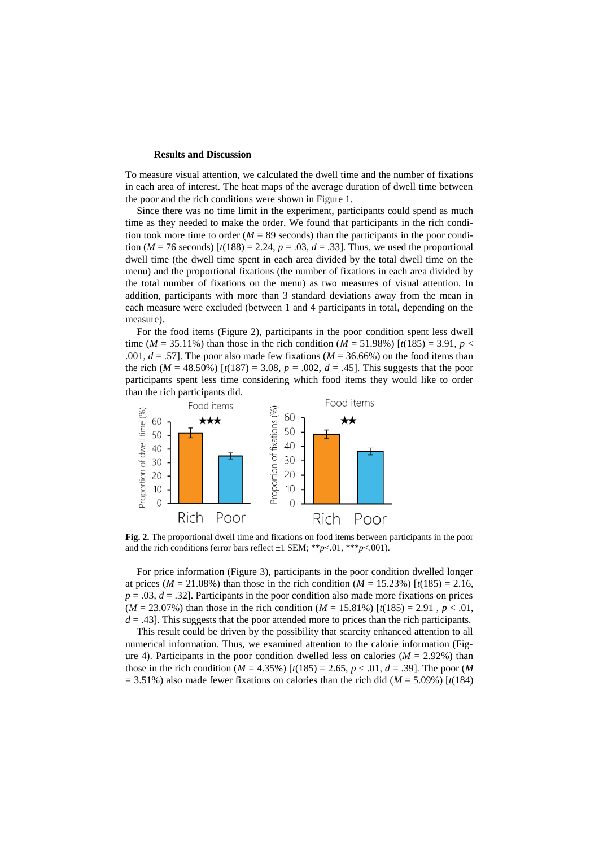#### **Results and Discussion**

To measure visual attention, we calculated the dwell time and the number of fixations in each area of interest. The heat maps of the average duration of dwell time between the poor and the rich conditions were shown in Figure 1.

Since there was no time limit in the experiment, participants could spend as much time as they needed to make the order. We found that participants in the rich condition took more time to order  $(M = 89$  seconds) than the participants in the poor condition (*M* = 76 seconds) [ $t(188) = 2.24$ ,  $p = .03$ ,  $d = .33$ ]. Thus, we used the proportional dwell time (the dwell time spent in each area divided by the total dwell time on the menu) and the proportional fixations (the number of fixations in each area divided by the total number of fixations on the menu) as two measures of visual attention. In addition, participants with more than 3 standard deviations away from the mean in each measure were excluded (between 1 and 4 participants in total, depending on the measure).

For the food items (Figure 2), participants in the poor condition spent less dwell time ( $M = 35.11\%$ ) than those in the rich condition ( $M = 51.98\%$ ) [ $t(185) = 3.91$ ,  $p <$ .001,  $d = .57$ . The poor also made few fixations ( $M = 36.66\%$ ) on the food items than the rich ( $M = 48.50\%$ ) [ $t(187) = 3.08$ ,  $p = .002$ ,  $d = .45$ ]. This suggests that the poor participants spent less time considering which food items they would like to order than the rich participants did.



**Fig. 2.** The proportional dwell time and fixations on food items between participants in the poor and the rich conditions (error bars reflect  $\pm 1$  SEM; \*\**p*<.01, \*\*\**p*<.001).

For price information (Figure 3), participants in the poor condition dwelled longer at prices ( $M = 21.08\%$ ) than those in the rich condition ( $M = 15.23\%$ ) [ $t(185) = 2.16$ ,  $p = .03$ ,  $d = .32$ ]. Participants in the poor condition also made more fixations on prices  $(M = 23.07\%)$  than those in the rich condition  $(M = 15.81\%)$  [ $t(185) = 2.91$ ,  $p < .01$ ,  $d = .43$ ]. This suggests that the poor attended more to prices than the rich participants.

This result could be driven by the possibility that scarcity enhanced attention to all numerical information. Thus, we examined attention to the calorie information (Figure 4). Participants in the poor condition dwelled less on calories ( $M = 2.92\%$ ) than those in the rich condition ( $M = 4.35\%$ ) [ $t(185) = 2.65$ ,  $p < .01$ ,  $d = .39$ ]. The poor (M  $= 3.51\%$ ) also made fewer fixations on calories than the rich did ( $M = 5.09\%$ ) [ $t(184)$ ]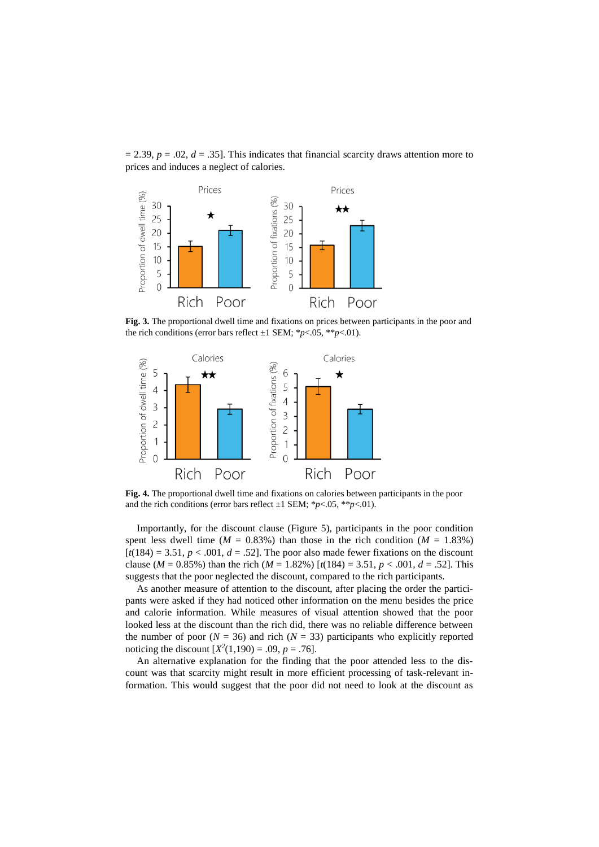$= 2.39, p = .02, d = .35$ ]. This indicates that financial scarcity draws attention more to prices and induces a neglect of calories.



**Fig. 3.** The proportional dwell time and fixations on prices between participants in the poor and the rich conditions (error bars reflect  $\pm 1$  SEM; \* $p < .05$ , \*\* $p < .01$ ).



**Fig. 4.** The proportional dwell time and fixations on calories between participants in the poor and the rich conditions (error bars reflect  $\pm 1$  SEM; \**p*<.05, \*\**p*<.01).

Importantly, for the discount clause (Figure 5), participants in the poor condition spent less dwell time ( $M = 0.83\%$ ) than those in the rich condition ( $M = 1.83\%$ )  $[t(184) = 3.51, p < .001, d = .52]$ . The poor also made fewer fixations on the discount clause (*M* = 0.85%) than the rich (*M* = 1.82%) [ $t$ (184) = 3.51, *p* < .001, *d* = .52]. This suggests that the poor neglected the discount, compared to the rich participants.

As another measure of attention to the discount, after placing the order the participants were asked if they had noticed other information on the menu besides the price and calorie information. While measures of visual attention showed that the poor looked less at the discount than the rich did, there was no reliable difference between the number of poor ( $N = 36$ ) and rich ( $N = 33$ ) participants who explicitly reported noticing the discount  $[X^2(1,190) = .09, p = .76]$ .

An alternative explanation for the finding that the poor attended less to the discount was that scarcity might result in more efficient processing of task-relevant information. This would suggest that the poor did not need to look at the discount as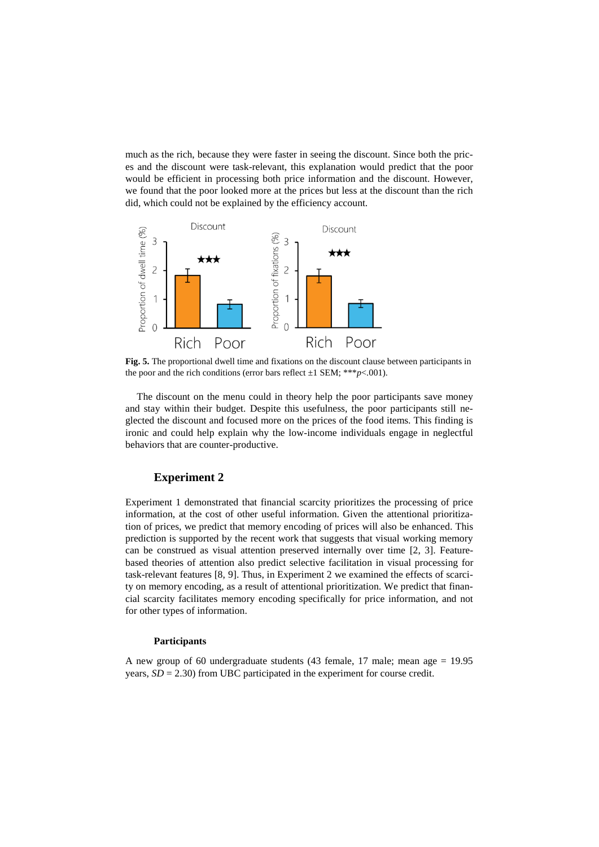much as the rich, because they were faster in seeing the discount. Since both the prices and the discount were task-relevant, this explanation would predict that the poor would be efficient in processing both price information and the discount. However, we found that the poor looked more at the prices but less at the discount than the rich did, which could not be explained by the efficiency account.



**Fig. 5.** The proportional dwell time and fixations on the discount clause between participants in the poor and the rich conditions (error bars reflect  $\pm 1$  SEM; \*\*\**p*<.001).

The discount on the menu could in theory help the poor participants save money and stay within their budget. Despite this usefulness, the poor participants still neglected the discount and focused more on the prices of the food items. This finding is ironic and could help explain why the low-income individuals engage in neglectful behaviors that are counter-productive.

# **Experiment 2**

Experiment 1 demonstrated that financial scarcity prioritizes the processing of price information, at the cost of other useful information. Given the attentional prioritization of prices, we predict that memory encoding of prices will also be enhanced. This prediction is supported by the recent work that suggests that visual working memory can be construed as visual attention preserved internally over time [2, 3]. Featurebased theories of attention also predict selective facilitation in visual processing for task-relevant features [8, 9]. Thus, in Experiment 2 we examined the effects of scarcity on memory encoding, as a result of attentional prioritization. We predict that financial scarcity facilitates memory encoding specifically for price information, and not for other types of information.

# **Participants**

A new group of 60 undergraduate students (43 female, 17 male; mean age = 19.95 years,  $SD = 2.30$ ) from UBC participated in the experiment for course credit.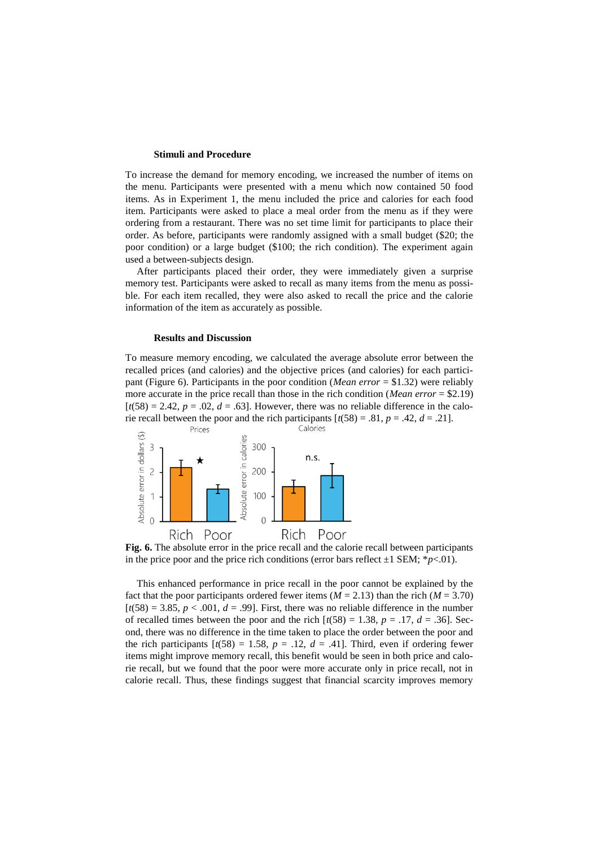#### **Stimuli and Procedure**

To increase the demand for memory encoding, we increased the number of items on the menu. Participants were presented with a menu which now contained 50 food items. As in Experiment 1, the menu included the price and calories for each food item. Participants were asked to place a meal order from the menu as if they were ordering from a restaurant. There was no set time limit for participants to place their order. As before, participants were randomly assigned with a small budget (\$20; the poor condition) or a large budget (\$100; the rich condition). The experiment again used a between-subjects design.

After participants placed their order, they were immediately given a surprise memory test. Participants were asked to recall as many items from the menu as possible. For each item recalled, they were also asked to recall the price and the calorie information of the item as accurately as possible.

#### **Results and Discussion**

To measure memory encoding, we calculated the average absolute error between the recalled prices (and calories) and the objective prices (and calories) for each participant (Figure 6). Participants in the poor condition (*Mean error* = \$1.32) were reliably more accurate in the price recall than those in the rich condition (*Mean error* = \$2.19)  $[t(58) = 2.42, p = .02, d = .63]$ . However, there was no reliable difference in the calorie recall between the poor and the rich participants  $[t(58) = .81, p = .42, d = .21]$ .



**Fig. 6.** The absolute error in the price recall and the calorie recall between participants in the price poor and the price rich conditions (error bars reflect  $\pm 1$  SEM; \**p*<.01).

This enhanced performance in price recall in the poor cannot be explained by the fact that the poor participants ordered fewer items ( $M = 2.13$ ) than the rich ( $M = 3.70$ )  $[t(58) = 3.85, p < .001, d = .99]$ . First, there was no reliable difference in the number of recalled times between the poor and the rich  $\lceil t(58) = 1.38$ ,  $p = .17$ ,  $d = .36$ . Second, there was no difference in the time taken to place the order between the poor and the rich participants  $[t(58) = 1.58, p = .12, d = .41]$ . Third, even if ordering fewer items might improve memory recall, this benefit would be seen in both price and calorie recall, but we found that the poor were more accurate only in price recall, not in calorie recall. Thus, these findings suggest that financial scarcity improves memory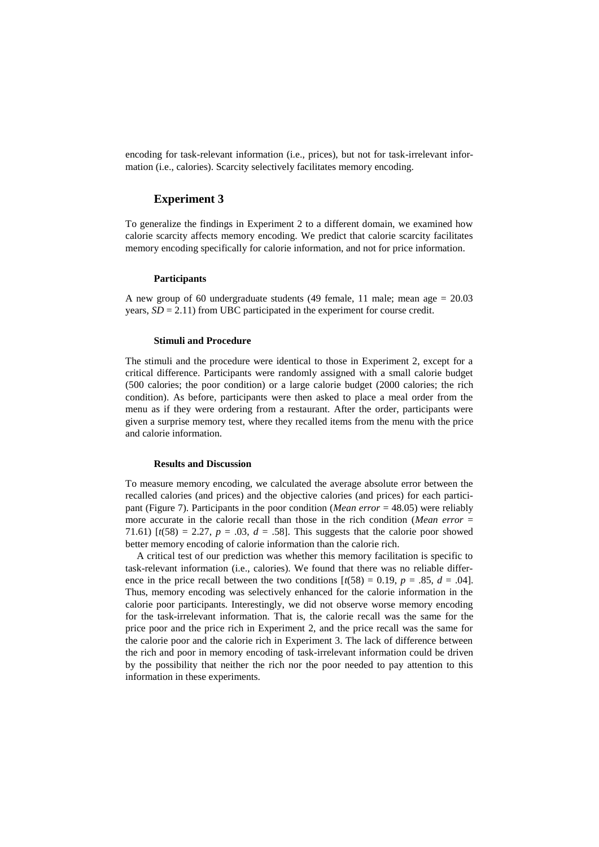encoding for task-relevant information (i.e., prices), but not for task-irrelevant information (i.e., calories). Scarcity selectively facilitates memory encoding.

# **Experiment 3**

To generalize the findings in Experiment 2 to a different domain, we examined how calorie scarcity affects memory encoding. We predict that calorie scarcity facilitates memory encoding specifically for calorie information, and not for price information.

### **Participants**

A new group of 60 undergraduate students (49 female, 11 male; mean age = 20.03 years,  $SD = 2.11$ ) from UBC participated in the experiment for course credit.

#### **Stimuli and Procedure**

The stimuli and the procedure were identical to those in Experiment 2, except for a critical difference. Participants were randomly assigned with a small calorie budget (500 calories; the poor condition) or a large calorie budget (2000 calories; the rich condition). As before, participants were then asked to place a meal order from the menu as if they were ordering from a restaurant. After the order, participants were given a surprise memory test, where they recalled items from the menu with the price and calorie information.

#### **Results and Discussion**

To measure memory encoding, we calculated the average absolute error between the recalled calories (and prices) and the objective calories (and prices) for each participant (Figure 7). Participants in the poor condition (*Mean error* = 48.05) were reliably more accurate in the calorie recall than those in the rich condition (*Mean error* = 71.61)  $[t(58) = 2.27, p = .03, d = .58]$ . This suggests that the calorie poor showed better memory encoding of calorie information than the calorie rich.

A critical test of our prediction was whether this memory facilitation is specific to task-relevant information (i.e., calories). We found that there was no reliable difference in the price recall between the two conditions  $[t(58) = 0.19, p = .85, d = .04]$ . Thus, memory encoding was selectively enhanced for the calorie information in the calorie poor participants. Interestingly, we did not observe worse memory encoding for the task-irrelevant information. That is, the calorie recall was the same for the price poor and the price rich in Experiment 2, and the price recall was the same for the calorie poor and the calorie rich in Experiment 3. The lack of difference between the rich and poor in memory encoding of task-irrelevant information could be driven by the possibility that neither the rich nor the poor needed to pay attention to this information in these experiments.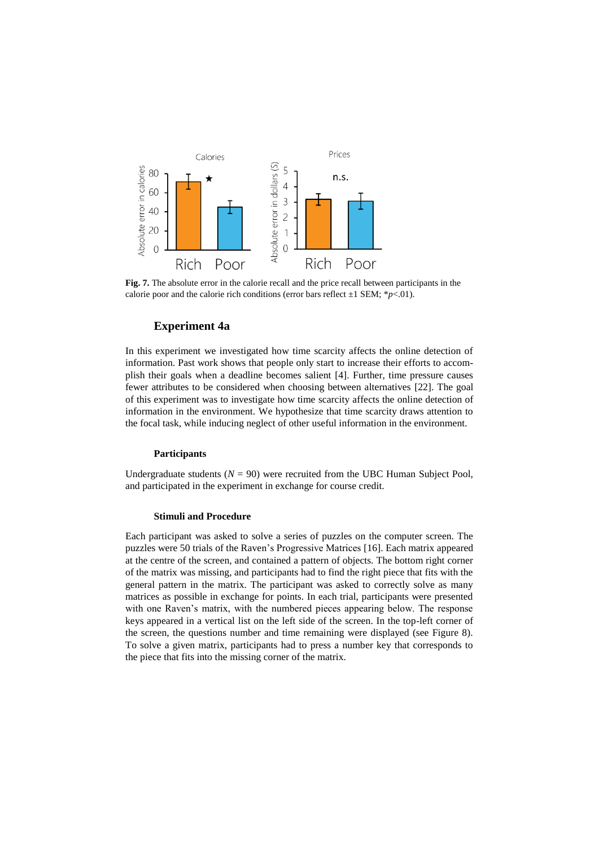

**Fig. 7.** The absolute error in the calorie recall and the price recall between participants in the calorie poor and the calorie rich conditions (error bars reflect  $\pm 1$  SEM; \**p*<.01).

# **Experiment 4a**

In this experiment we investigated how time scarcity affects the online detection of information. Past work shows that people only start to increase their efforts to accomplish their goals when a deadline becomes salient [4]. Further, time pressure causes fewer attributes to be considered when choosing between alternatives [22]. The goal of this experiment was to investigate how time scarcity affects the online detection of information in the environment. We hypothesize that time scarcity draws attention to the focal task, while inducing neglect of other useful information in the environment.

# **Participants**

Undergraduate students  $(N = 90)$  were recruited from the UBC Human Subject Pool, and participated in the experiment in exchange for course credit.

#### **Stimuli and Procedure**

Each participant was asked to solve a series of puzzles on the computer screen. The puzzles were 50 trials of the Raven's Progressive Matrices [16]. Each matrix appeared at the centre of the screen, and contained a pattern of objects. The bottom right corner of the matrix was missing, and participants had to find the right piece that fits with the general pattern in the matrix. The participant was asked to correctly solve as many matrices as possible in exchange for points. In each trial, participants were presented with one Raven's matrix, with the numbered pieces appearing below. The response keys appeared in a vertical list on the left side of the screen. In the top-left corner of the screen, the questions number and time remaining were displayed (see Figure 8). To solve a given matrix, participants had to press a number key that corresponds to the piece that fits into the missing corner of the matrix.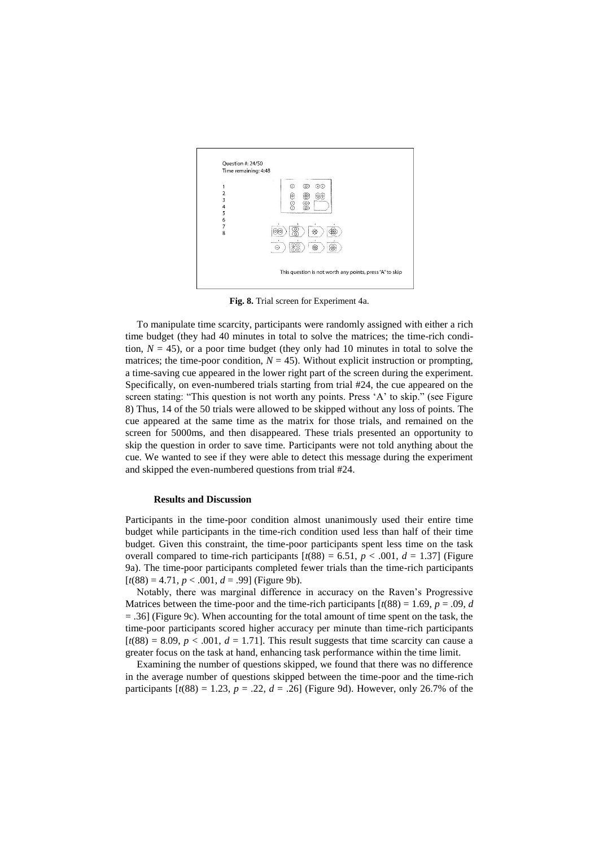

**Fig. 8.** Trial screen for Experiment 4a.

To manipulate time scarcity, participants were randomly assigned with either a rich time budget (they had 40 minutes in total to solve the matrices; the time-rich condition,  $N = 45$ ), or a poor time budget (they only had 10 minutes in total to solve the matrices; the time-poor condition,  $N = 45$ ). Without explicit instruction or prompting, a time-saving cue appeared in the lower right part of the screen during the experiment. Specifically, on even-numbered trials starting from trial #24, the cue appeared on the screen stating: "This question is not worth any points. Press 'A' to skip." (see Figure 8) Thus, 14 of the 50 trials were allowed to be skipped without any loss of points. The cue appeared at the same time as the matrix for those trials, and remained on the screen for 5000ms, and then disappeared. These trials presented an opportunity to skip the question in order to save time. Participants were not told anything about the cue. We wanted to see if they were able to detect this message during the experiment and skipped the even-numbered questions from trial #24.

# **Results and Discussion**

Participants in the time-poor condition almost unanimously used their entire time budget while participants in the time-rich condition used less than half of their time budget. Given this constraint, the time-poor participants spent less time on the task overall compared to time-rich participants  $[t(88) = 6.51, p < .001, d = 1.37]$  (Figure 9a). The time-poor participants completed fewer trials than the time-rich participants  $[t(88) = 4.71, p < .001, d = .99]$  (Figure 9b).

Notably, there was marginal difference in accuracy on the Raven's Progressive Matrices between the time-poor and the time-rich participants  $[r(88) = 1.69, p = .09, d$ = .36] (Figure 9c). When accounting for the total amount of time spent on the task, the time-poor participants scored higher accuracy per minute than time-rich participants  $[t(88) = 8.09, p < .001, d = 1.71]$ . This result suggests that time scarcity can cause a greater focus on the task at hand, enhancing task performance within the time limit.

Examining the number of questions skipped, we found that there was no difference in the average number of questions skipped between the time-poor and the time-rich participants  $[t(88) = 1.23, p = .22, d = .26]$  (Figure 9d). However, only 26.7% of the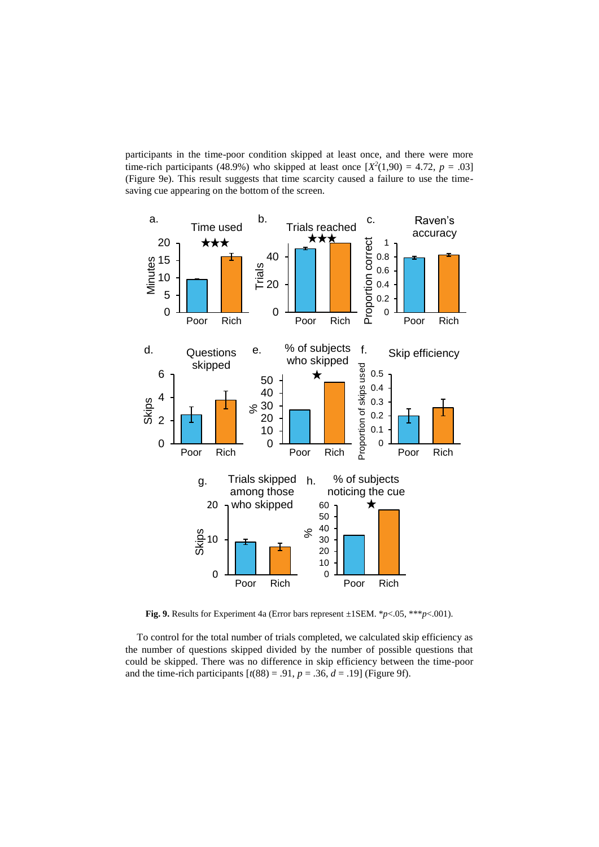participants in the time-poor condition skipped at least once, and there were more time-rich participants (48.9%) who skipped at least once  $[X^2(1,90) = 4.72, p = .03]$ (Figure 9e). This result suggests that time scarcity caused a failure to use the timesaving cue appearing on the bottom of the screen.



**Fig. 9.** Results for Experiment 4a (Error bars represent ±1SEM. \**p*<.05, \*\*\**p*<.001).

To control for the total number of trials completed, we calculated skip efficiency as the number of questions skipped divided by the number of possible questions that could be skipped. There was no difference in skip efficiency between the time-poor and the time-rich participants  $[t(88) = .91, p = .36, d = .19]$  (Figure 9f).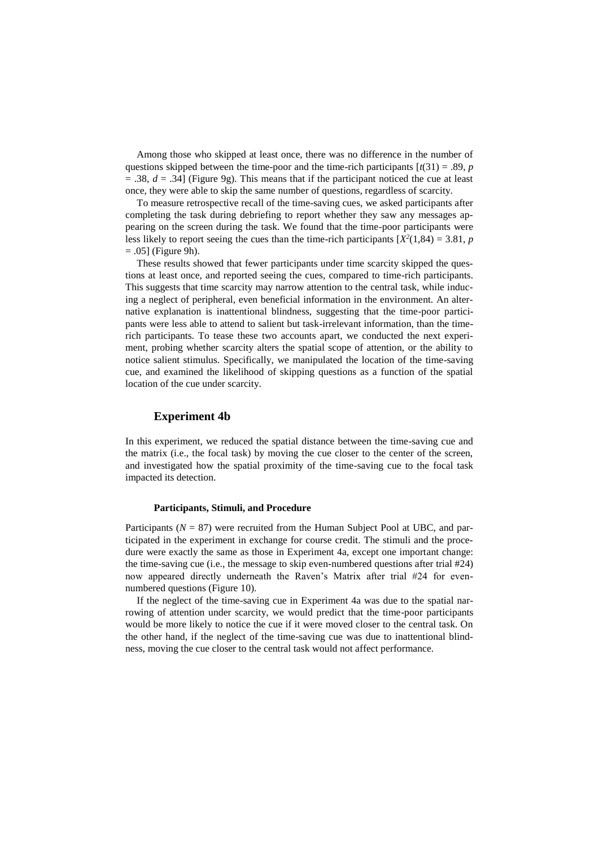Among those who skipped at least once, there was no difference in the number of questions skipped between the time-poor and the time-rich participants  $[t(31) = .89, p$  $= .38, d = .34$ ] (Figure 9g). This means that if the participant noticed the cue at least once, they were able to skip the same number of questions, regardless of scarcity.

To measure retrospective recall of the time-saving cues, we asked participants after completing the task during debriefing to report whether they saw any messages appearing on the screen during the task. We found that the time-poor participants were less likely to report seeing the cues than the time-rich participants  $[X^2(1,84) = 3.81, p$  $= .05$ ] (Figure 9h).

These results showed that fewer participants under time scarcity skipped the questions at least once, and reported seeing the cues, compared to time-rich participants. This suggests that time scarcity may narrow attention to the central task, while inducing a neglect of peripheral, even beneficial information in the environment. An alternative explanation is inattentional blindness, suggesting that the time-poor participants were less able to attend to salient but task-irrelevant information, than the timerich participants. To tease these two accounts apart, we conducted the next experiment, probing whether scarcity alters the spatial scope of attention, or the ability to notice salient stimulus. Specifically, we manipulated the location of the time-saving cue, and examined the likelihood of skipping questions as a function of the spatial location of the cue under scarcity.

## **Experiment 4b**

In this experiment, we reduced the spatial distance between the time-saving cue and the matrix (i.e., the focal task) by moving the cue closer to the center of the screen, and investigated how the spatial proximity of the time-saving cue to the focal task impacted its detection.

#### **Participants, Stimuli, and Procedure**

Participants ( $N = 87$ ) were recruited from the Human Subject Pool at UBC, and participated in the experiment in exchange for course credit. The stimuli and the procedure were exactly the same as those in Experiment 4a, except one important change: the time-saving cue (i.e., the message to skip even-numbered questions after trial #24) now appeared directly underneath the Raven's Matrix after trial #24 for evennumbered questions (Figure 10).

If the neglect of the time-saving cue in Experiment 4a was due to the spatial narrowing of attention under scarcity, we would predict that the time-poor participants would be more likely to notice the cue if it were moved closer to the central task. On the other hand, if the neglect of the time-saving cue was due to inattentional blindness, moving the cue closer to the central task would not affect performance.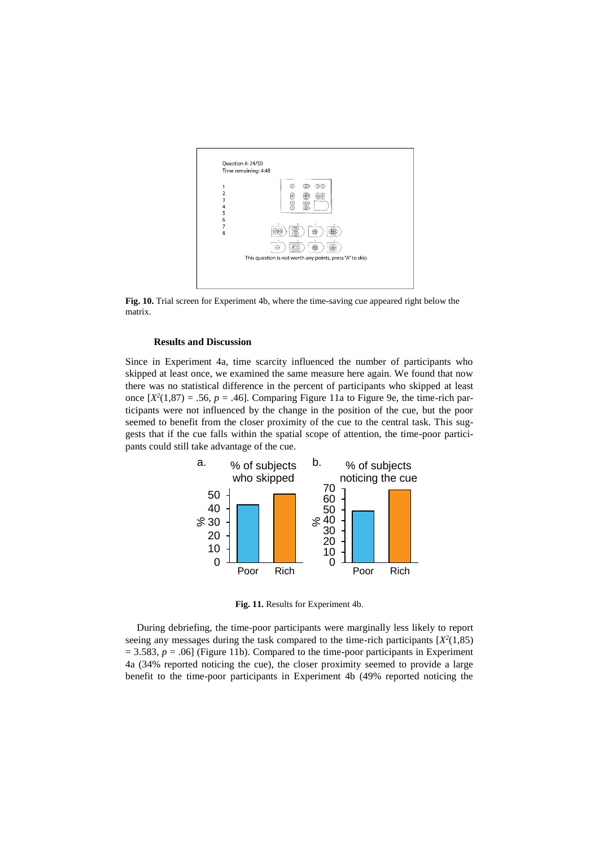

**Fig. 10.** Trial screen for Experiment 4b, where the time-saving cue appeared right below the matrix.

# **Results and Discussion**

Since in Experiment 4a, time scarcity influenced the number of participants who skipped at least once, we examined the same measure here again. We found that now there was no statistical difference in the percent of participants who skipped at least once  $[X^2(1,87) = .56, p = .46]$ . Comparing Figure 11a to Figure 9e, the time-rich participants were not influenced by the change in the position of the cue, but the poor seemed to benefit from the closer proximity of the cue to the central task. This suggests that if the cue falls within the spatial scope of attention, the time-poor participants could still take advantage of the cue.



**Fig. 11.** Results for Experiment 4b.

During debriefing, the time-poor participants were marginally less likely to report seeing any messages during the task compared to the time-rich participants  $[X^2(1,85)]$  $= 3.583, p = .06$  (Figure 11b). Compared to the time-poor participants in Experiment 4a (34% reported noticing the cue), the closer proximity seemed to provide a large benefit to the time-poor participants in Experiment 4b (49% reported noticing the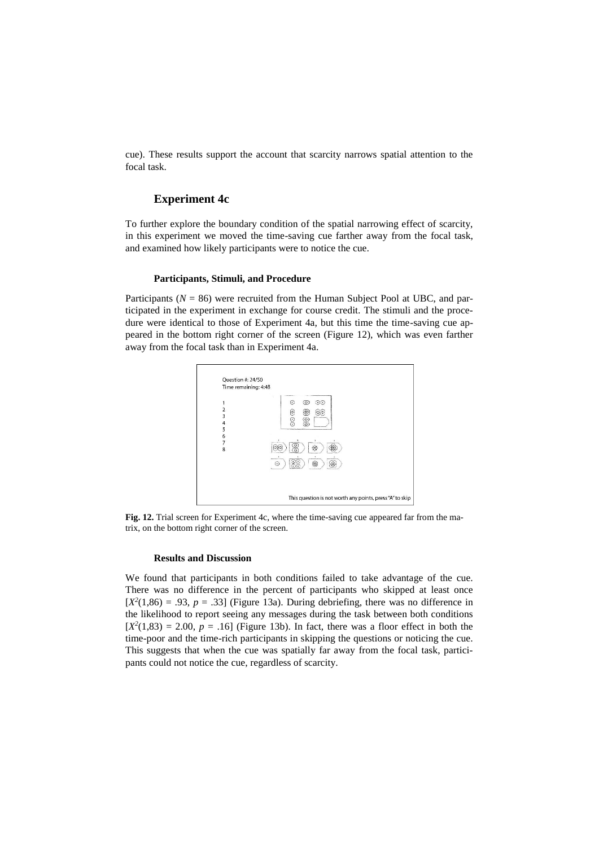cue). These results support the account that scarcity narrows spatial attention to the focal task.

# **Experiment 4c**

To further explore the boundary condition of the spatial narrowing effect of scarcity, in this experiment we moved the time-saving cue farther away from the focal task, and examined how likely participants were to notice the cue.

### **Participants, Stimuli, and Procedure**

Participants ( $N = 86$ ) were recruited from the Human Subject Pool at UBC, and participated in the experiment in exchange for course credit. The stimuli and the procedure were identical to those of Experiment 4a, but this time the time-saving cue appeared in the bottom right corner of the screen (Figure 12), which was even farther away from the focal task than in Experiment 4a.



**Fig. 12.** Trial screen for Experiment 4c, where the time-saving cue appeared far from the matrix, on the bottom right corner of the screen.

#### **Results and Discussion**

We found that participants in both conditions failed to take advantage of the cue. There was no difference in the percent of participants who skipped at least once  $[X^2(1,86) = .93, p = .33]$  (Figure 13a). During debriefing, there was no difference in the likelihood to report seeing any messages during the task between both conditions  $[X^2(1,83) = 2.00, p = .16]$  (Figure 13b). In fact, there was a floor effect in both the time-poor and the time-rich participants in skipping the questions or noticing the cue. This suggests that when the cue was spatially far away from the focal task, participants could not notice the cue, regardless of scarcity.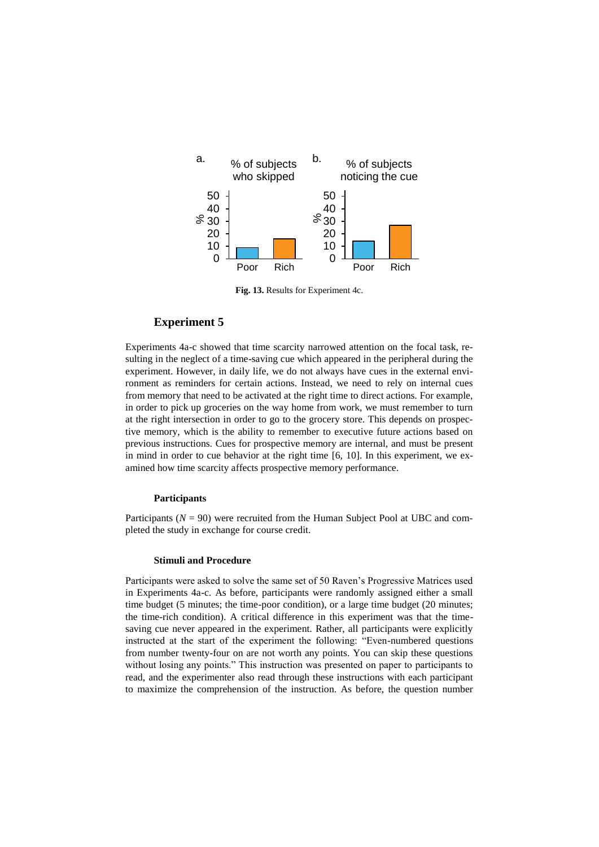

**Fig. 13.** Results for Experiment 4c.

# **Experiment 5**

Experiments 4a-c showed that time scarcity narrowed attention on the focal task, resulting in the neglect of a time-saving cue which appeared in the peripheral during the experiment. However, in daily life, we do not always have cues in the external environment as reminders for certain actions. Instead, we need to rely on internal cues from memory that need to be activated at the right time to direct actions. For example, in order to pick up groceries on the way home from work, we must remember to turn at the right intersection in order to go to the grocery store. This depends on prospective memory, which is the ability to remember to executive future actions based on previous instructions. Cues for prospective memory are internal, and must be present in mind in order to cue behavior at the right time [6, 10]. In this experiment, we examined how time scarcity affects prospective memory performance.

### **Participants**

Participants  $(N = 90)$  were recruited from the Human Subject Pool at UBC and completed the study in exchange for course credit.

#### **Stimuli and Procedure**

Participants were asked to solve the same set of 50 Raven's Progressive Matrices used in Experiments 4a-c. As before, participants were randomly assigned either a small time budget (5 minutes; the time-poor condition), or a large time budget (20 minutes; the time-rich condition). A critical difference in this experiment was that the timesaving cue never appeared in the experiment. Rather, all participants were explicitly instructed at the start of the experiment the following: "Even-numbered questions from number twenty-four on are not worth any points. You can skip these questions without losing any points." This instruction was presented on paper to participants to read, and the experimenter also read through these instructions with each participant to maximize the comprehension of the instruction. As before, the question number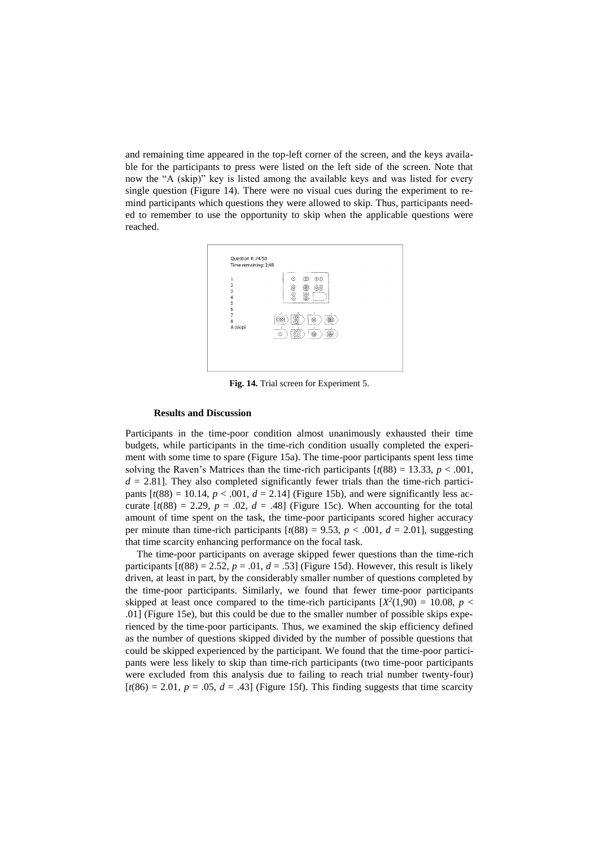and remaining time appeared in the top-left corner of the screen, and the keys available for the participants to press were listed on the left side of the screen. Note that now the "A (skip)" key is listed among the available keys and was listed for every single question (Figure 14). There were no visual cues during the experiment to remind participants which questions they were allowed to skip. Thus, participants needed to remember to use the opportunity to skip when the applicable questions were reached.



**Fig. 14.** Trial screen for Experiment 5.

### **Results and Discussion**

Participants in the time-poor condition almost unanimously exhausted their time budgets, while participants in the time-rich condition usually completed the experiment with some time to spare (Figure 15a). The time-poor participants spent less time solving the Raven's Matrices than the time-rich participants  $[t(88) = 13.33, p < .001,$  $d = 2.81$ ]. They also completed significantly fewer trials than the time-rich participants  $[t(88) = 10.14, p < .001, d = 2.14]$  (Figure 15b), and were significantly less accurate  $[t(88) = 2.29, p = .02, d = .48]$  (Figure 15c). When accounting for the total amount of time spent on the task, the time-poor participants scored higher accuracy per minute than time-rich participants  $[t(88) = 9.53, p < .001, d = 2.01]$ , suggesting that time scarcity enhancing performance on the focal task.

The time-poor participants on average skipped fewer questions than the time-rich participants  $[t(88) = 2.52, p = .01, d = .53]$  (Figure 15d). However, this result is likely driven, at least in part, by the considerably smaller number of questions completed by the time-poor participants. Similarly, we found that fewer time-poor participants skipped at least once compared to the time-rich participants  $[X^2(1,90) = 10.08, p <$ .01] (Figure 15e), but this could be due to the smaller number of possible skips experienced by the time-poor participants. Thus, we examined the skip efficiency defined as the number of questions skipped divided by the number of possible questions that could be skipped experienced by the participant. We found that the time-poor participants were less likely to skip than time-rich participants (two time-poor participants were excluded from this analysis due to failing to reach trial number twenty-four)  $[t(86) = 2.01, p = .05, d = .43]$  (Figure 15f). This finding suggests that time scarcity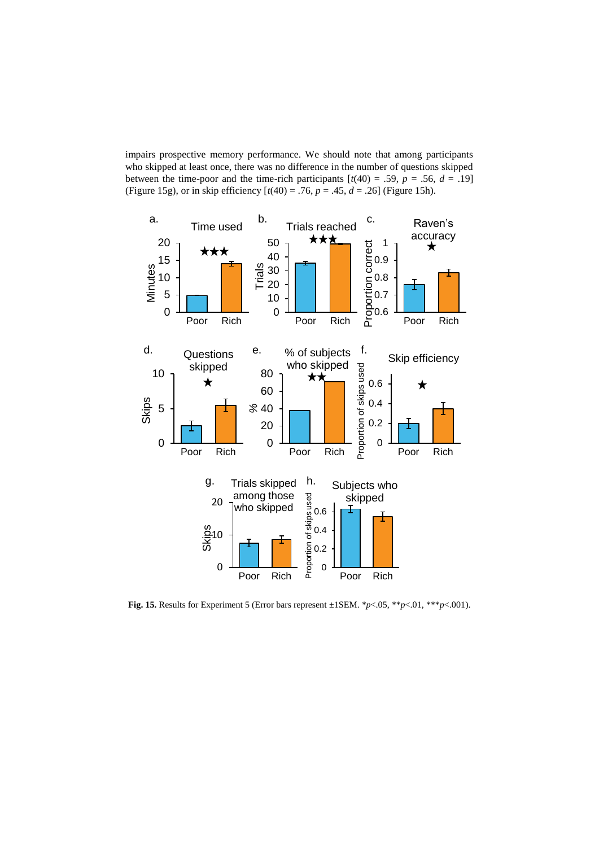impairs prospective memory performance. We should note that among participants who skipped at least once, there was no difference in the number of questions skipped between the time-poor and the time-rich participants  $[t(40) = .59, p = .56, d = .19]$ (Figure 15g), or in skip efficiency [*t*(40) = .76, *p* = .45, *d* = .26] (Figure 15h).



**Fig. 15.** Results for Experiment 5 (Error bars represent ±1SEM. \**p*<.05, \*\**p*<.01, \*\*\**p*<.001).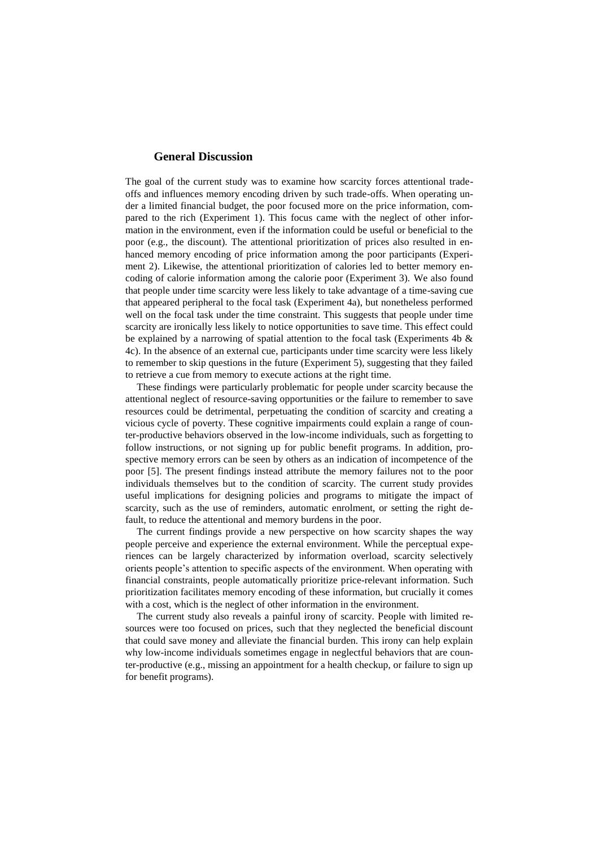# **General Discussion**

The goal of the current study was to examine how scarcity forces attentional tradeoffs and influences memory encoding driven by such trade-offs. When operating under a limited financial budget, the poor focused more on the price information, compared to the rich (Experiment 1). This focus came with the neglect of other information in the environment, even if the information could be useful or beneficial to the poor (e.g., the discount). The attentional prioritization of prices also resulted in enhanced memory encoding of price information among the poor participants (Experiment 2). Likewise, the attentional prioritization of calories led to better memory encoding of calorie information among the calorie poor (Experiment 3). We also found that people under time scarcity were less likely to take advantage of a time-saving cue that appeared peripheral to the focal task (Experiment 4a), but nonetheless performed well on the focal task under the time constraint. This suggests that people under time scarcity are ironically less likely to notice opportunities to save time. This effect could be explained by a narrowing of spatial attention to the focal task (Experiments 4b & 4c). In the absence of an external cue, participants under time scarcity were less likely to remember to skip questions in the future (Experiment 5), suggesting that they failed to retrieve a cue from memory to execute actions at the right time.

These findings were particularly problematic for people under scarcity because the attentional neglect of resource-saving opportunities or the failure to remember to save resources could be detrimental, perpetuating the condition of scarcity and creating a vicious cycle of poverty. These cognitive impairments could explain a range of counter-productive behaviors observed in the low-income individuals, such as forgetting to follow instructions, or not signing up for public benefit programs. In addition, prospective memory errors can be seen by others as an indication of incompetence of the poor [5]. The present findings instead attribute the memory failures not to the poor individuals themselves but to the condition of scarcity. The current study provides useful implications for designing policies and programs to mitigate the impact of scarcity, such as the use of reminders, automatic enrolment, or setting the right default, to reduce the attentional and memory burdens in the poor.

The current findings provide a new perspective on how scarcity shapes the way people perceive and experience the external environment. While the perceptual experiences can be largely characterized by information overload, scarcity selectively orients people's attention to specific aspects of the environment. When operating with financial constraints, people automatically prioritize price-relevant information. Such prioritization facilitates memory encoding of these information, but crucially it comes with a cost, which is the neglect of other information in the environment.

The current study also reveals a painful irony of scarcity. People with limited resources were too focused on prices, such that they neglected the beneficial discount that could save money and alleviate the financial burden. This irony can help explain why low-income individuals sometimes engage in neglectful behaviors that are counter-productive (e.g., missing an appointment for a health checkup, or failure to sign up for benefit programs).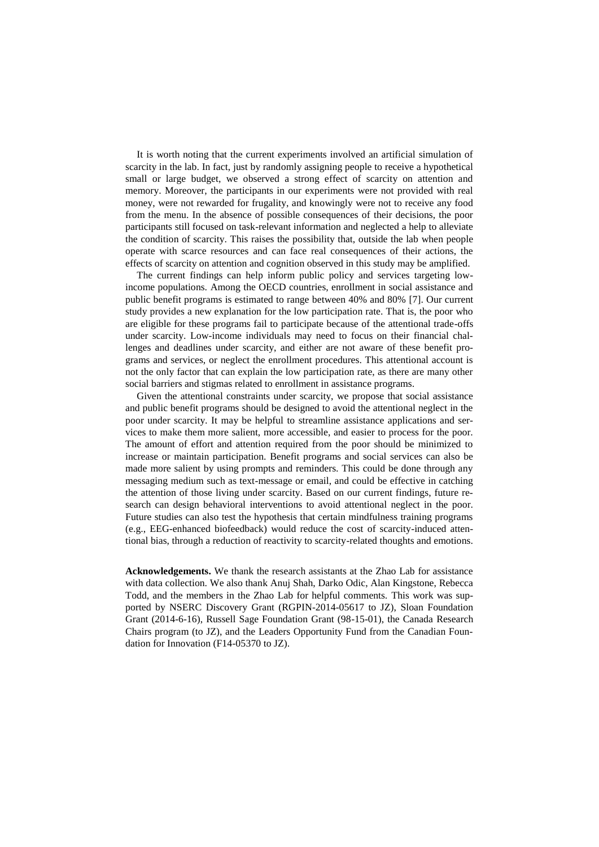It is worth noting that the current experiments involved an artificial simulation of scarcity in the lab. In fact, just by randomly assigning people to receive a hypothetical small or large budget, we observed a strong effect of scarcity on attention and memory. Moreover, the participants in our experiments were not provided with real money, were not rewarded for frugality, and knowingly were not to receive any food from the menu. In the absence of possible consequences of their decisions, the poor participants still focused on task-relevant information and neglected a help to alleviate the condition of scarcity. This raises the possibility that, outside the lab when people operate with scarce resources and can face real consequences of their actions, the effects of scarcity on attention and cognition observed in this study may be amplified.

The current findings can help inform public policy and services targeting lowincome populations. Among the OECD countries, enrollment in social assistance and public benefit programs is estimated to range between 40% and 80% [7]. Our current study provides a new explanation for the low participation rate. That is, the poor who are eligible for these programs fail to participate because of the attentional trade-offs under scarcity. Low-income individuals may need to focus on their financial challenges and deadlines under scarcity, and either are not aware of these benefit programs and services, or neglect the enrollment procedures. This attentional account is not the only factor that can explain the low participation rate, as there are many other social barriers and stigmas related to enrollment in assistance programs.

Given the attentional constraints under scarcity, we propose that social assistance and public benefit programs should be designed to avoid the attentional neglect in the poor under scarcity. It may be helpful to streamline assistance applications and services to make them more salient, more accessible, and easier to process for the poor. The amount of effort and attention required from the poor should be minimized to increase or maintain participation. Benefit programs and social services can also be made more salient by using prompts and reminders. This could be done through any messaging medium such as text-message or email, and could be effective in catching the attention of those living under scarcity. Based on our current findings, future research can design behavioral interventions to avoid attentional neglect in the poor. Future studies can also test the hypothesis that certain mindfulness training programs (e.g., EEG-enhanced biofeedback) would reduce the cost of scarcity-induced attentional bias, through a reduction of reactivity to scarcity-related thoughts and emotions.

**Acknowledgements.** We thank the research assistants at the Zhao Lab for assistance with data collection. We also thank Anuj Shah, Darko Odic, Alan Kingstone, Rebecca Todd, and the members in the Zhao Lab for helpful comments. This work was supported by NSERC Discovery Grant (RGPIN-2014-05617 to JZ), Sloan Foundation Grant (2014-6-16), Russell Sage Foundation Grant (98-15-01), the Canada Research Chairs program (to JZ), and the Leaders Opportunity Fund from the Canadian Foundation for Innovation (F14-05370 to JZ).